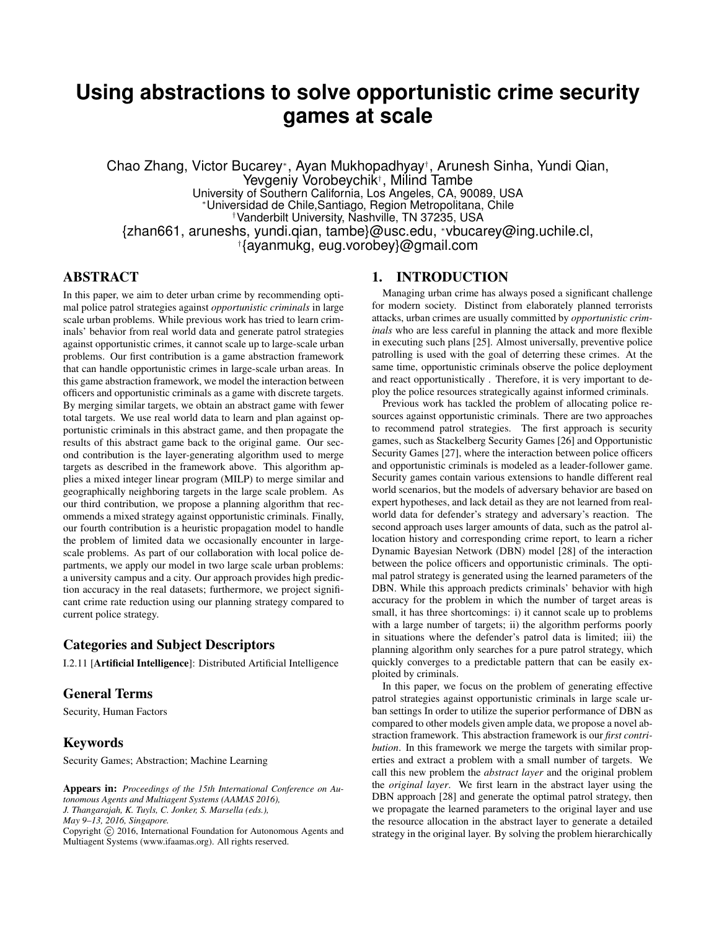# **Using abstractions to solve opportunistic crime security games at scale**

Chao Zhang, Victor Bucarey<sup>∗</sup> , Ayan Mukhopadhyay† , Arunesh Sinha, Yundi Qian, Yevgeniy Vorobeychik† , Milind Tambe University of Southern California, Los Angeles, CA, 90089, USA <sup>∗</sup>Universidad de Chile,Santiago, Region Metropolitana, Chile †Vanderbilt University, Nashville, TN 37235, USA {zhan661, aruneshs, yundi.qian, tambe}@usc.edu, <sup>∗</sup>vbucarey@ing.uchile.cl, † {ayanmukg, eug.vorobey}@gmail.com

# ABSTRACT

In this paper, we aim to deter urban crime by recommending optimal police patrol strategies against *opportunistic criminals* in large scale urban problems. While previous work has tried to learn criminals' behavior from real world data and generate patrol strategies against opportunistic crimes, it cannot scale up to large-scale urban problems. Our first contribution is a game abstraction framework that can handle opportunistic crimes in large-scale urban areas. In this game abstraction framework, we model the interaction between officers and opportunistic criminals as a game with discrete targets. By merging similar targets, we obtain an abstract game with fewer total targets. We use real world data to learn and plan against opportunistic criminals in this abstract game, and then propagate the results of this abstract game back to the original game. Our second contribution is the layer-generating algorithm used to merge targets as described in the framework above. This algorithm applies a mixed integer linear program (MILP) to merge similar and geographically neighboring targets in the large scale problem. As our third contribution, we propose a planning algorithm that recommends a mixed strategy against opportunistic criminals. Finally, our fourth contribution is a heuristic propagation model to handle the problem of limited data we occasionally encounter in largescale problems. As part of our collaboration with local police departments, we apply our model in two large scale urban problems: a university campus and a city. Our approach provides high prediction accuracy in the real datasets; furthermore, we project significant crime rate reduction using our planning strategy compared to current police strategy.

# Categories and Subject Descriptors

I.2.11 [Artificial Intelligence]: Distributed Artificial Intelligence

### General Terms

Security, Human Factors

### Keywords

Security Games; Abstraction; Machine Learning

# 1. INTRODUCTION

Managing urban crime has always posed a significant challenge for modern society. Distinct from elaborately planned terrorists attacks, urban crimes are usually committed by *opportunistic criminals* who are less careful in planning the attack and more flexible in executing such plans [25]. Almost universally, preventive police patrolling is used with the goal of deterring these crimes. At the same time, opportunistic criminals observe the police deployment and react opportunistically . Therefore, it is very important to deploy the police resources strategically against informed criminals.

Previous work has tackled the problem of allocating police resources against opportunistic criminals. There are two approaches to recommend patrol strategies. The first approach is security games, such as Stackelberg Security Games [26] and Opportunistic Security Games [27], where the interaction between police officers and opportunistic criminals is modeled as a leader-follower game. Security games contain various extensions to handle different real world scenarios, but the models of adversary behavior are based on expert hypotheses, and lack detail as they are not learned from realworld data for defender's strategy and adversary's reaction. The second approach uses larger amounts of data, such as the patrol allocation history and corresponding crime report, to learn a richer Dynamic Bayesian Network (DBN) model [28] of the interaction between the police officers and opportunistic criminals. The optimal patrol strategy is generated using the learned parameters of the DBN. While this approach predicts criminals' behavior with high accuracy for the problem in which the number of target areas is small, it has three shortcomings: i) it cannot scale up to problems with a large number of targets; ii) the algorithm performs poorly in situations where the defender's patrol data is limited; iii) the planning algorithm only searches for a pure patrol strategy, which quickly converges to a predictable pattern that can be easily exploited by criminals.

In this paper, we focus on the problem of generating effective patrol strategies against opportunistic criminals in large scale urban settings In order to utilize the superior performance of DBN as compared to other models given ample data, we propose a novel abstraction framework. This abstraction framework is our *first contribution*. In this framework we merge the targets with similar properties and extract a problem with a small number of targets. We call this new problem the *abstract layer* and the original problem the *original layer*. We first learn in the abstract layer using the DBN approach [28] and generate the optimal patrol strategy, then we propagate the learned parameters to the original layer and use the resource allocation in the abstract layer to generate a detailed strategy in the original layer. By solving the problem hierarchically

Appears in: *Proceedings of the 15th International Conference on Autonomous Agents and Multiagent Systems (AAMAS 2016), J. Thangarajah, K. Tuyls, C. Jonker, S. Marsella (eds.), May 9–13, 2016, Singapore.* Copyright (C) 2016, International Foundation for Autonomous Agents and Multiagent Systems (www.ifaamas.org). All rights reserved.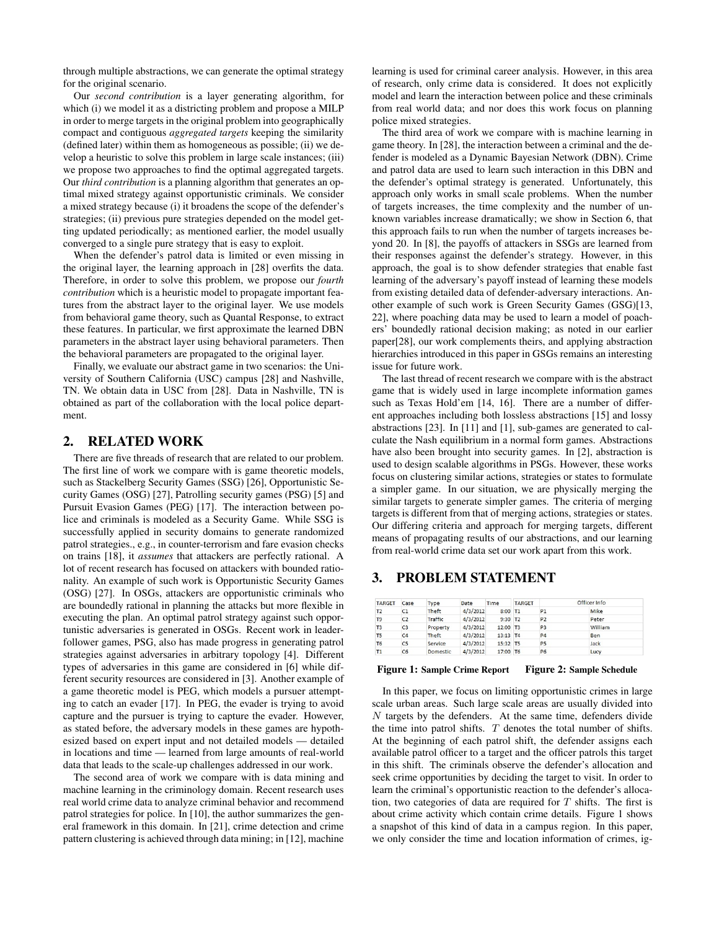through multiple abstractions, we can generate the optimal strategy for the original scenario.

Our *second contribution* is a layer generating algorithm, for which (i) we model it as a districting problem and propose a MILP in order to merge targets in the original problem into geographically compact and contiguous *aggregated targets* keeping the similarity (defined later) within them as homogeneous as possible; (ii) we develop a heuristic to solve this problem in large scale instances; (iii) we propose two approaches to find the optimal aggregated targets. Our *third contribution* is a planning algorithm that generates an optimal mixed strategy against opportunistic criminals. We consider a mixed strategy because (i) it broadens the scope of the defender's strategies; (ii) previous pure strategies depended on the model getting updated periodically; as mentioned earlier, the model usually converged to a single pure strategy that is easy to exploit.

When the defender's patrol data is limited or even missing in the original layer, the learning approach in [28] overfits the data. Therefore, in order to solve this problem, we propose our *fourth contribution* which is a heuristic model to propagate important features from the abstract layer to the original layer. We use models from behavioral game theory, such as Quantal Response, to extract these features. In particular, we first approximate the learned DBN parameters in the abstract layer using behavioral parameters. Then the behavioral parameters are propagated to the original layer.

Finally, we evaluate our abstract game in two scenarios: the University of Southern California (USC) campus [28] and Nashville, TN. We obtain data in USC from [28]. Data in Nashville, TN is obtained as part of the collaboration with the local police department.

# 2. RELATED WORK

There are five threads of research that are related to our problem. The first line of work we compare with is game theoretic models, such as Stackelberg Security Games (SSG) [26], Opportunistic Security Games (OSG) [27], Patrolling security games (PSG) [5] and Pursuit Evasion Games (PEG) [17]. The interaction between police and criminals is modeled as a Security Game. While SSG is successfully applied in security domains to generate randomized patrol strategies., e.g., in counter-terrorism and fare evasion checks on trains [18], it *assumes* that attackers are perfectly rational. A lot of recent research has focused on attackers with bounded rationality. An example of such work is Opportunistic Security Games (OSG) [27]. In OSGs, attackers are opportunistic criminals who are boundedly rational in planning the attacks but more flexible in executing the plan. An optimal patrol strategy against such opportunistic adversaries is generated in OSGs. Recent work in leaderfollower games, PSG, also has made progress in generating patrol strategies against adversaries in arbitrary topology [4]. Different types of adversaries in this game are considered in [6] while different security resources are considered in [3]. Another example of a game theoretic model is PEG, which models a pursuer attempting to catch an evader [17]. In PEG, the evader is trying to avoid capture and the pursuer is trying to capture the evader. However, as stated before, the adversary models in these games are hypothesized based on expert input and not detailed models — detailed in locations and time — learned from large amounts of real-world data that leads to the scale-up challenges addressed in our work.

The second area of work we compare with is data mining and machine learning in the criminology domain. Recent research uses real world crime data to analyze criminal behavior and recommend patrol strategies for police. In [10], the author summarizes the general framework in this domain. In [21], crime detection and crime pattern clustering is achieved through data mining; in [12], machine

learning is used for criminal career analysis. However, in this area of research, only crime data is considered. It does not explicitly model and learn the interaction between police and these criminals from real world data; and nor does this work focus on planning police mixed strategies.

The third area of work we compare with is machine learning in game theory. In [28], the interaction between a criminal and the defender is modeled as a Dynamic Bayesian Network (DBN). Crime and patrol data are used to learn such interaction in this DBN and the defender's optimal strategy is generated. Unfortunately, this approach only works in small scale problems. When the number of targets increases, the time complexity and the number of unknown variables increase dramatically; we show in Section 6, that this approach fails to run when the number of targets increases beyond 20. In [8], the payoffs of attackers in SSGs are learned from their responses against the defender's strategy. However, in this approach, the goal is to show defender strategies that enable fast learning of the adversary's payoff instead of learning these models from existing detailed data of defender-adversary interactions. Another example of such work is Green Security Games (GSG)[13, 22], where poaching data may be used to learn a model of poachers' boundedly rational decision making; as noted in our earlier paper[28], our work complements theirs, and applying abstraction hierarchies introduced in this paper in GSGs remains an interesting issue for future work.

The last thread of recent research we compare with is the abstract game that is widely used in large incomplete information games such as Texas Hold'em [14, 16]. There are a number of different approaches including both lossless abstractions [15] and lossy abstractions [23]. In [11] and [1], sub-games are generated to calculate the Nash equilibrium in a normal form games. Abstractions have also been brought into security games. In [2], abstraction is used to design scalable algorithms in PSGs. However, these works focus on clustering similar actions, strategies or states to formulate a simpler game. In our situation, we are physically merging the similar targets to generate simpler games. The criteria of merging targets is different from that of merging actions, strategies or states. Our differing criteria and approach for merging targets, different means of propagating results of our abstractions, and our learning from real-world crime data set our work apart from this work.

### 3. PROBLEM STATEMENT

| <b>TARGET</b>  | Case           | <b>Type</b>     | Date     | Time  | <b>TARGET</b>  |                | Officer Info |
|----------------|----------------|-----------------|----------|-------|----------------|----------------|--------------|
| T <sub>2</sub> | C1             | <b>Theft</b>    | 4/3/2012 | 8:00  | T1             | P <sub>1</sub> | Mike         |
| T <sub>9</sub> | C <sub>2</sub> | <b>Traffic</b>  | 4/3/2012 | 9:30  | T <sub>2</sub> | P <sub>2</sub> | Peter        |
| T3             | C <sub>3</sub> | Property        | 4/3/2012 | 12:00 | T <sub>3</sub> | P <sub>3</sub> | William      |
| T <sub>5</sub> | C <sub>4</sub> | Theft           | 4/3/2012 | 13:13 | T <sub>4</sub> | P <sub>4</sub> | Ben          |
| T <sub>6</sub> | C <sub>5</sub> | Service         | 4/3/2012 | 15:32 | <b>T5</b>      | P <sub>5</sub> | Jack         |
| Т1             | C6             | <b>Domestic</b> | 4/3/2012 | 17:00 | T <sub>6</sub> | <b>P6</b>      | Lucy         |

#### Figure 1: Sample Crime Report Figure 2: Sample Schedule

In this paper, we focus on limiting opportunistic crimes in large scale urban areas. Such large scale areas are usually divided into  $N$  targets by the defenders. At the same time, defenders divide the time into patrol shifts.  $T$  denotes the total number of shifts. At the beginning of each patrol shift, the defender assigns each available patrol officer to a target and the officer patrols this target in this shift. The criminals observe the defender's allocation and seek crime opportunities by deciding the target to visit. In order to learn the criminal's opportunistic reaction to the defender's allocation, two categories of data are required for  $T$  shifts. The first is about crime activity which contain crime details. Figure 1 shows a snapshot of this kind of data in a campus region. In this paper, we only consider the time and location information of crimes, ig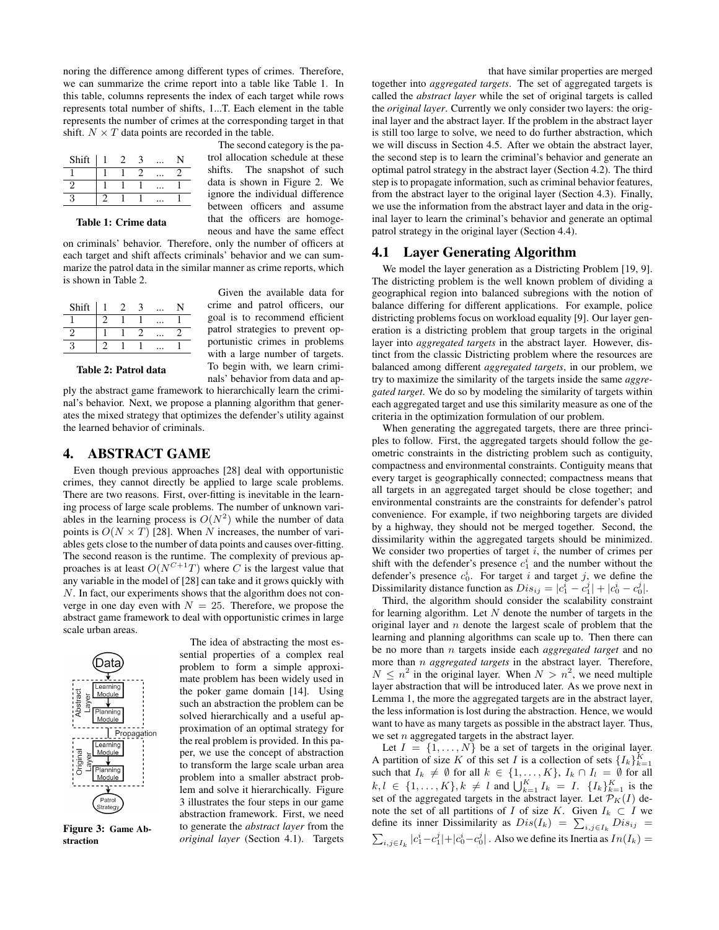noring the difference among different types of crimes. Therefore, we can summarize the crime report into a table like Table 1. In this table, columns represents the index of each target while rows represents total number of shifts, 1...T. Each element in the table represents the number of crimes at the corresponding target in that shift.  $N \times T$  data points are recorded in the table.

| Shift |  |  |  |
|-------|--|--|--|
|       |  |  |  |
|       |  |  |  |
|       |  |  |  |

The second category is the patrol allocation schedule at these shifts. The snapshot of such data is shown in Figure 2. We ignore the individual difference between officers and assume that the officers are homogeneous and have the same effect

Table 1: Crime data

on criminals' behavior. Therefore, only the number of officers at each target and shift affects criminals' behavior and we can summarize the patrol data in the similar manner as crime reports, which is shown in Table 2.

| Shift |  |  |  |
|-------|--|--|--|
|       |  |  |  |
|       |  |  |  |
|       |  |  |  |

Given the available data for crime and patrol officers, our goal is to recommend efficient patrol strategies to prevent opportunistic crimes in problems with a large number of targets. To begin with, we learn criminals' behavior from data and ap-

Table 2: Patrol data

ply the abstract game framework to hierarchically learn the criminal's behavior. Next, we propose a planning algorithm that generates the mixed strategy that optimizes the defender's utility against the learned behavior of criminals.

### 4. ABSTRACT GAME

Even though previous approaches [28] deal with opportunistic crimes, they cannot directly be applied to large scale problems. There are two reasons. First, over-fitting is inevitable in the learning process of large scale problems. The number of unknown variables in the learning process is  $O(N^2)$  while the number of data points is  $O(N \times T)$  [28]. When N increases, the number of variables gets close to the number of data points and causes over-fitting. The second reason is the runtime. The complexity of previous approaches is at least  $O(N^{C+1}T)$  where C is the largest value that any variable in the model of [28] can take and it grows quickly with N. In fact, our experiments shows that the algorithm does not converge in one day even with  $N = 25$ . Therefore, we propose the abstract game framework to deal with opportunistic crimes in large scale urban areas.



Figure 3: Game Abstraction

The idea of abstracting the most essential properties of a complex real problem to form a simple approximate problem has been widely used in the poker game domain [14]. Using such an abstraction the problem can be solved hierarchically and a useful approximation of an optimal strategy for the real problem is provided. In this paper, we use the concept of abstraction to transform the large scale urban area problem into a smaller abstract problem and solve it hierarchically. Figure 3 illustrates the four steps in our game abstraction framework. First, we need to generate the *abstract layer* from the *original layer* (Section 4.1). Targets

that have similar properties are merged together into *aggregated targets*. The set of aggregated targets is called the *abstract layer* while the set of original targets is called the *original layer*. Currently we only consider two layers: the original layer and the abstract layer. If the problem in the abstract layer is still too large to solve, we need to do further abstraction, which we will discuss in Section 4.5. After we obtain the abstract layer, the second step is to learn the criminal's behavior and generate an optimal patrol strategy in the abstract layer (Section 4.2). The third step is to propagate information, such as criminal behavior features, from the abstract layer to the original layer (Section 4.3). Finally, we use the information from the abstract layer and data in the original layer to learn the criminal's behavior and generate an optimal patrol strategy in the original layer (Section 4.4).

### 4.1 Layer Generating Algorithm

We model the layer generation as a Districting Problem [19, 9]. The districting problem is the well known problem of dividing a geographical region into balanced subregions with the notion of balance differing for different applications. For example, police districting problems focus on workload equality [9]. Our layer generation is a districting problem that group targets in the original layer into *aggregated targets* in the abstract layer. However, distinct from the classic Districting problem where the resources are balanced among different *aggregated targets*, in our problem, we try to maximize the similarity of the targets inside the same *aggregated target*. We do so by modeling the similarity of targets within each aggregated target and use this similarity measure as one of the criteria in the optimization formulation of our problem.

When generating the aggregated targets, there are three principles to follow. First, the aggregated targets should follow the geometric constraints in the districting problem such as contiguity, compactness and environmental constraints. Contiguity means that every target is geographically connected; compactness means that all targets in an aggregated target should be close together; and environmental constraints are the constraints for defender's patrol convenience. For example, if two neighboring targets are divided by a highway, they should not be merged together. Second, the dissimilarity within the aggregated targets should be minimized. We consider two properties of target  $i$ , the number of crimes per shift with the defender's presence  $c_1^i$  and the number without the defender's presence  $c_0^i$ . For target i and target j, we define the Dissimilarity distance function as  $Dis_{ij} = |c_1^i - c_1^j| + |c_0^i - c_0^j|$ .

Third, the algorithm should consider the scalability constraint for learning algorithm. Let  $N$  denote the number of targets in the original layer and  $n$  denote the largest scale of problem that the learning and planning algorithms can scale up to. Then there can be no more than n targets inside each *aggregated target* and no more than n *aggregated targets* in the abstract layer. Therefore,  $N \leq n^2$  in the original layer. When  $N > n^2$ , we need multiple layer abstraction that will be introduced later. As we prove next in Lemma 1, the more the aggregated targets are in the abstract layer, the less information is lost during the abstraction. Hence, we would want to have as many targets as possible in the abstract layer. Thus, we set  $n$  aggregated targets in the abstract layer.

Let  $I = \{1, \ldots, N\}$  be a set of targets in the original layer. A partition of size K of this set I is a collection of sets  $\{I_k\}_{k=1}^K$ such that  $I_k \neq \emptyset$  for all  $k \in \{1, ..., K\}$ ,  $I_k \cap I_l = \emptyset$  for all  $k, l \in \{1, ..., K\}, k \neq l$  and  $\bigcup_{k=1}^{K} I_k = I$ .  $\{I_k\}_{k=1}^{K}$  is the set of the aggregated targets in the abstract layer. Let  $\mathcal{P}_K(I)$  denote the set of all partitions of I of size K. Given  $I_k \subset I$  we define its inner Dissimilarity as  $Dis(I_k) = \sum_{i,j \in I_k} Dis_{ij} =$  $\sum_{i,j\in I_k} |c_1^i-c_1^j|+|c_0^i-c_0^j|$ . Also we define its Inertia as  $In(I_k)=$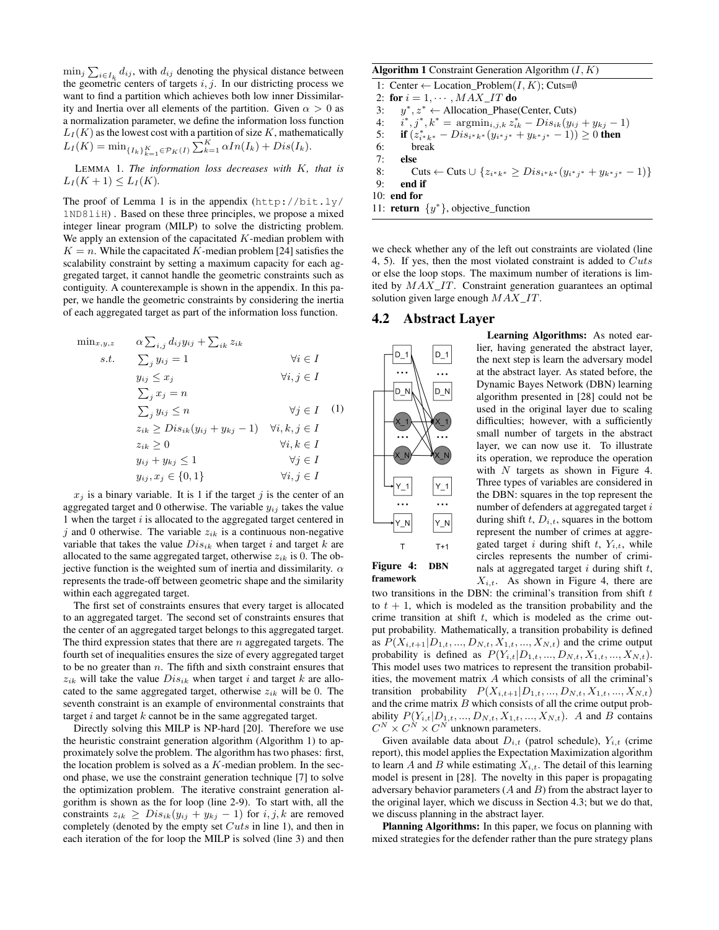$\min_j \sum_{i \in I_k} d_{ij}$ , with  $d_{ij}$  denoting the physical distance between the geometric centers of targets  $i, j$ . In our districting process we want to find a partition which achieves both low inner Dissimilarity and Inertia over all elements of the partition. Given  $\alpha > 0$  as a normalization parameter, we define the information loss function  $L_I(K)$  as the lowest cost with a partition of size K, mathematically  $L_I(K) = \min_{\{I_k\}_{k=1}^K \in \mathcal{P}_K(I)} \sum_{k=1}^K \alpha In(I_k) + Dis(I_k).$ 

LEMMA 1. *The information loss decreases with* K*, that is*  $L_I(K + 1) \leq L_I(K)$ .

The proof of Lemma 1 is in the appendix  $(http://bit.ly/$ 1ND8liH) . Based on these three principles, we propose a mixed integer linear program (MILP) to solve the districting problem. We apply an extension of the capacitated  $K$ -median problem with  $K = n$ . While the capacitated K-median problem [24] satisfies the scalability constraint by setting a maximum capacity for each aggregated target, it cannot handle the geometric constraints such as contiguity. A counterexample is shown in the appendix. In this paper, we handle the geometric constraints by considering the inertia of each aggregated target as part of the information loss function.

$$
\begin{aligned}\n\min_{x,y,z} & \alpha \sum_{i,j} d_{ij} y_{ij} + \sum_{ik} z_{ik} \\
s.t. & \sum_j y_{ij} = 1 & \forall i \in I \\
y_{ij} \le x_j & \forall i, j \in I \\
\sum_j x_j = n & \sum_j y_{ij} \le n & \forall j \in I \quad (1) \\
z_{ik} \ge Dis_{ik} (y_{ij} + y_{kj} - 1) & \forall i, k, j \in I \\
z_{ik} \ge 0 & \forall i, k \in I \\
y_{ij} + y_{kj} \le 1 & \forall j \in I \\
y_{ij}, x_j \in \{0, 1\} & \forall i, j \in I\n\end{aligned}
$$

 $x_j$  is a binary variable. It is 1 if the target j is the center of an aggregated target and 0 otherwise. The variable  $y_{ij}$  takes the value 1 when the target  $i$  is allocated to the aggregated target centered in j and 0 otherwise. The variable  $z_{ik}$  is a continuous non-negative variable that takes the value  $Dis_{ik}$  when target i and target k are allocated to the same aggregated target, otherwise  $z_{ik}$  is 0. The objective function is the weighted sum of inertia and dissimilarity.  $\alpha$ represents the trade-off between geometric shape and the similarity within each aggregated target.

The first set of constraints ensures that every target is allocated to an aggregated target. The second set of constraints ensures that the center of an aggregated target belongs to this aggregated target. The third expression states that there are  $n$  aggregated targets. The fourth set of inequalities ensures the size of every aggregated target to be no greater than  $n$ . The fifth and sixth constraint ensures that  $z_{ik}$  will take the value  $Dis_{ik}$  when target i and target k are allocated to the same aggregated target, otherwise  $z_{ik}$  will be 0. The seventh constraint is an example of environmental constraints that target  $i$  and target  $k$  cannot be in the same aggregated target.

Directly solving this MILP is NP-hard [20]. Therefore we use the heuristic constraint generation algorithm (Algorithm 1) to approximately solve the problem. The algorithm has two phases: first, the location problem is solved as a  $K$ -median problem. In the second phase, we use the constraint generation technique [7] to solve the optimization problem. The iterative constraint generation algorithm is shown as the for loop (line 2-9). To start with, all the constraints  $z_{ik} \ge Dis_{ik}(y_{ij} + y_{kj} - 1)$  for  $i, j, k$  are removed completely (denoted by the empty set  $Cuts$  in line 1), and then in each iteration of the for loop the MILP is solved (line 3) and then

#### **Algorithm 1** Constraint Generation Algorithm  $(I, K)$

1: Center ← Location\_Problem(I, K); Cuts=Ø

2: for  $i = 1, \cdots, MAX\_IT$  do

3:  $y^*, z^* \leftarrow \text{Allocation\_Phase}(\text{Center}, \text{Cuts})$ 

 $4:$ \*,  $j^*$ ,  $k^* = \text{argmin}_{i,j,k} z_{ik}^* - Dis_{ik}(y_{ij} + y_{kj} - 1)$ 

- 5: **if**  $(z_{i^*k^*}^* Dis_{i^*k^*}(y_{i^*j^*} + y_{k^*j^*} 1)) \ge 0$  then
- 6: break
- 7: else
- 8: Cuts ← Cuts ∪  $\{z_{i^*k^*} \geq Dis_{i^*k^*}(y_{i^*j^*} + y_{k^*j^*} 1)\}$
- 9: end if

10: end for

11: **return**  $\{y^*\}$ , objective\_function

we check whether any of the left out constraints are violated (line 4, 5). If yes, then the most violated constraint is added to  $Cuts$ or else the loop stops. The maximum number of iterations is limited by MAX\_IT. Constraint generation guarantees an optimal solution given large enough  $MAX\_IT$ .

#### 4.2 Abstract Layer



framework

Learning Algorithms: As noted earlier, having generated the abstract layer, the next step is learn the adversary model at the abstract layer. As stated before, the Dynamic Bayes Network (DBN) learning algorithm presented in [28] could not be used in the original layer due to scaling difficulties; however, with a sufficiently small number of targets in the abstract layer, we can now use it. To illustrate its operation, we reproduce the operation with  $N$  targets as shown in Figure 4. Three types of variables are considered in the DBN: squares in the top represent the number of defenders at aggregated target i during shift  $t$ ,  $D_{i,t}$ , squares in the bottom represent the number of crimes at aggregated target i during shift t,  $Y_{i,t}$ , while circles represents the number of criminals at aggregated target  $i$  during shift  $t$ ,  $X_{i,t}$ . As shown in Figure 4, there are

two transitions in the DBN: the criminal's transition from shift  $t$ to  $t + 1$ , which is modeled as the transition probability and the crime transition at shift  $t$ , which is modeled as the crime output probability. Mathematically, a transition probability is defined as  $P(X_{i,t+1}|D_{1,t},...,D_{N,t},X_{1,t},...,X_{N,t})$  and the crime output probability is defined as  $P(Y_{i,t}|D_{1,t},..., D_{N,t}, X_{1,t},..., X_{N,t}).$ This model uses two matrices to represent the transition probabilities, the movement matrix A which consists of all the criminal's transition probability  $P(X_{i,t+1}|D_{1,t},...,D_{N,t}, X_{1,t},...,X_{N,t})$ and the crime matrix  $B$  which consists of all the crime output probability  $P(Y_{i,t}|D_{1,t},...,D_{N,t}, X_{1,t},...,X_{N,t})$ . A and B contains  $C^N \times C^N \times C^N$  unknown parameters.

Given available data about  $D_{i,t}$  (patrol schedule),  $Y_{i,t}$  (crime report), this model applies the Expectation Maximization algorithm to learn A and B while estimating  $X_{i,t}$ . The detail of this learning model is present in [28]. The novelty in this paper is propagating adversary behavior parameters  $(A \text{ and } B)$  from the abstract layer to the original layer, which we discuss in Section 4.3; but we do that, we discuss planning in the abstract layer.

Planning Algorithms: In this paper, we focus on planning with mixed strategies for the defender rather than the pure strategy plans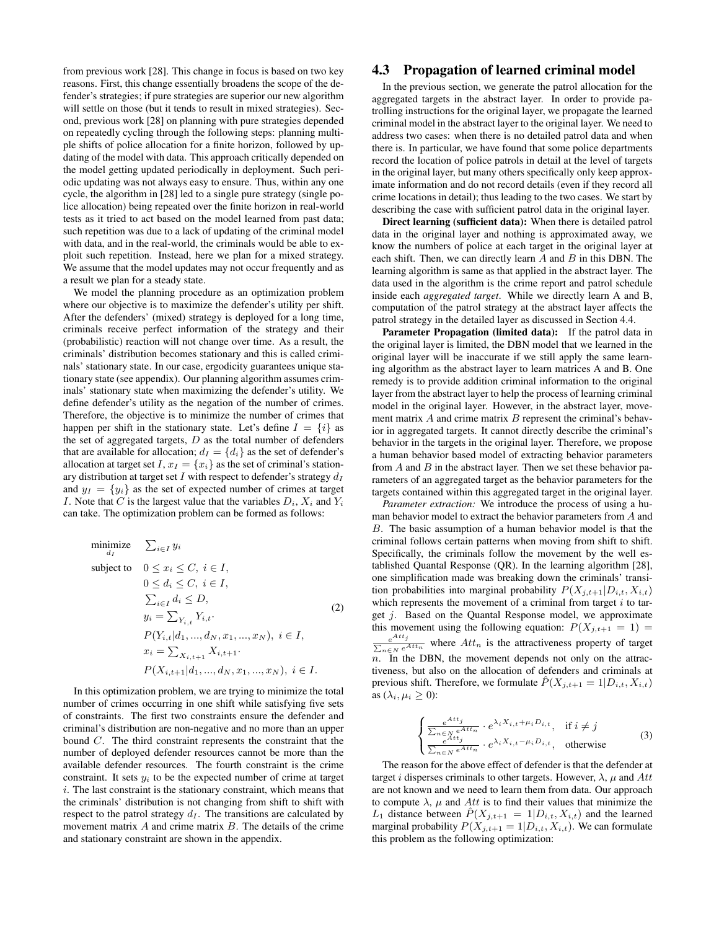from previous work [28]. This change in focus is based on two key reasons. First, this change essentially broadens the scope of the defender's strategies; if pure strategies are superior our new algorithm will settle on those (but it tends to result in mixed strategies). Second, previous work [28] on planning with pure strategies depended on repeatedly cycling through the following steps: planning multiple shifts of police allocation for a finite horizon, followed by updating of the model with data. This approach critically depended on the model getting updated periodically in deployment. Such periodic updating was not always easy to ensure. Thus, within any one cycle, the algorithm in [28] led to a single pure strategy (single police allocation) being repeated over the finite horizon in real-world tests as it tried to act based on the model learned from past data; such repetition was due to a lack of updating of the criminal model with data, and in the real-world, the criminals would be able to exploit such repetition. Instead, here we plan for a mixed strategy. We assume that the model updates may not occur frequently and as a result we plan for a steady state.

We model the planning procedure as an optimization problem where our objective is to maximize the defender's utility per shift. After the defenders' (mixed) strategy is deployed for a long time, criminals receive perfect information of the strategy and their (probabilistic) reaction will not change over time. As a result, the criminals' distribution becomes stationary and this is called criminals' stationary state. In our case, ergodicity guarantees unique stationary state (see appendix). Our planning algorithm assumes criminals' stationary state when maximizing the defender's utility. We define defender's utility as the negation of the number of crimes. Therefore, the objective is to minimize the number of crimes that happen per shift in the stationary state. Let's define  $I = \{i\}$  as the set of aggregated targets,  $D$  as the total number of defenders that are available for allocation;  $d_I = \{d_i\}$  as the set of defender's allocation at target set I,  $x_I = \{x_i\}$  as the set of criminal's stationary distribution at target set I with respect to defender's strategy  $d_I$ and  $y_I = \{y_i\}$  as the set of expected number of crimes at target I. Note that C is the largest value that the variables  $D_i$ ,  $X_i$  and  $Y_i$ can take. The optimization problem can be formed as follows:

minimize 
$$
\sum_{i \in I} y_i
$$
  
\nsubject to  $0 \le x_i \le C, i \in I$ ,  
\n $0 \le d_i \le C, i \in I$ ,  
\n $\sum_{i \in I} d_i \le D$ ,  
\n $y_i = \sum_{Y_{i,t}} Y_{i,t}$ .  
\n $P(Y_{i,t} | d_1, ..., d_N, x_1, ..., x_N), i \in I$ ,  
\n $x_i = \sum_{X_{i,t+1}} X_{i,t+1}$ .  
\n $P(X_{i,t+1} | d_1, ..., d_N, x_1, ..., x_N), i \in I$ .

In this optimization problem, we are trying to minimize the total number of crimes occurring in one shift while satisfying five sets of constraints. The first two constraints ensure the defender and criminal's distribution are non-negative and no more than an upper bound C. The third constraint represents the constraint that the number of deployed defender resources cannot be more than the available defender resources. The fourth constraint is the crime constraint. It sets  $y_i$  to be the expected number of crime at target  $i$ . The last constraint is the stationary constraint, which means that the criminals' distribution is not changing from shift to shift with respect to the patrol strategy  $d_I$ . The transitions are calculated by movement matrix  $A$  and crime matrix  $B$ . The details of the crime and stationary constraint are shown in the appendix.

### 4.3 Propagation of learned criminal model

In the previous section, we generate the patrol allocation for the aggregated targets in the abstract layer. In order to provide patrolling instructions for the original layer, we propagate the learned criminal model in the abstract layer to the original layer. We need to address two cases: when there is no detailed patrol data and when there is. In particular, we have found that some police departments record the location of police patrols in detail at the level of targets in the original layer, but many others specifically only keep approximate information and do not record details (even if they record all crime locations in detail); thus leading to the two cases. We start by describing the case with sufficient patrol data in the original layer.

Direct learning (sufficient data): When there is detailed patrol data in the original layer and nothing is approximated away, we know the numbers of police at each target in the original layer at each shift. Then, we can directly learn  $A$  and  $B$  in this DBN. The learning algorithm is same as that applied in the abstract layer. The data used in the algorithm is the crime report and patrol schedule inside each *aggregated target*. While we directly learn A and B, computation of the patrol strategy at the abstract layer affects the patrol strategy in the detailed layer as discussed in Section 4.4.

Parameter Propagation (limited data): If the patrol data in the original layer is limited, the DBN model that we learned in the original layer will be inaccurate if we still apply the same learning algorithm as the abstract layer to learn matrices A and B. One remedy is to provide addition criminal information to the original layer from the abstract layer to help the process of learning criminal model in the original layer. However, in the abstract layer, movement matrix  $A$  and crime matrix  $B$  represent the criminal's behavior in aggregated targets. It cannot directly describe the criminal's behavior in the targets in the original layer. Therefore, we propose a human behavior based model of extracting behavior parameters from  $A$  and  $B$  in the abstract layer. Then we set these behavior parameters of an aggregated target as the behavior parameters for the targets contained within this aggregated target in the original layer.

*Parameter extraction:* We introduce the process of using a human behavior model to extract the behavior parameters from A and B. The basic assumption of a human behavior model is that the criminal follows certain patterns when moving from shift to shift. Specifically, the criminals follow the movement by the well established Quantal Response (QR). In the learning algorithm [28], one simplification made was breaking down the criminals' transition probabilities into marginal probability  $P(X_{i,t+1}|D_{i,t}, X_{i,t})$ which represents the movement of a criminal from target  $i$  to target  $j$ . Based on the Quantal Response model, we approximate this movement using the following equation:  $P(X_{i,t+1} = 1)$  $e^{Att}$ j  $\frac{e^{i\alpha t}y}{\sum_{n\in\mathbb{N}}e^{Attn}}$  where  $Att_n$  is the attractiveness property of target  $n<sup>n</sup>$ . In the DBN, the movement depends not only on the attractiveness, but also on the allocation of defenders and criminals at previous shift. Therefore, we formulate  $\hat{P}(X_{j,t+1} = 1 | D_{i,t}, X_{i,t})$ as  $(\lambda_i, \mu_i \geq 0)$ :

$$
\begin{cases} \frac{e^{Att_j}}{\sum_{n\in N} e^{Attn}} \cdot e^{\lambda_i X_{i,t} + \mu_i D_{i,t}}, & \text{if } i \neq j\\ \frac{e^{Att_j}}{\sum_{n\in N} e^{Attn}} \cdot e^{\lambda_i X_{i,t} - \mu_i D_{i,t}}, & \text{otherwise} \end{cases}
$$
 (3)

The reason for the above effect of defender is that the defender at target i disperses criminals to other targets. However,  $\lambda$ ,  $\mu$  and Att are not known and we need to learn them from data. Our approach to compute  $\lambda$ ,  $\mu$  and Att is to find their values that minimize the  $L_1$  distance between  $P(X_{j,t+1} = 1|D_{i,t}, X_{i,t})$  and the learned marginal probability  $P(X_{j,t+1} = 1 | D_{i,t}, X_{i,t})$ . We can formulate this problem as the following optimization: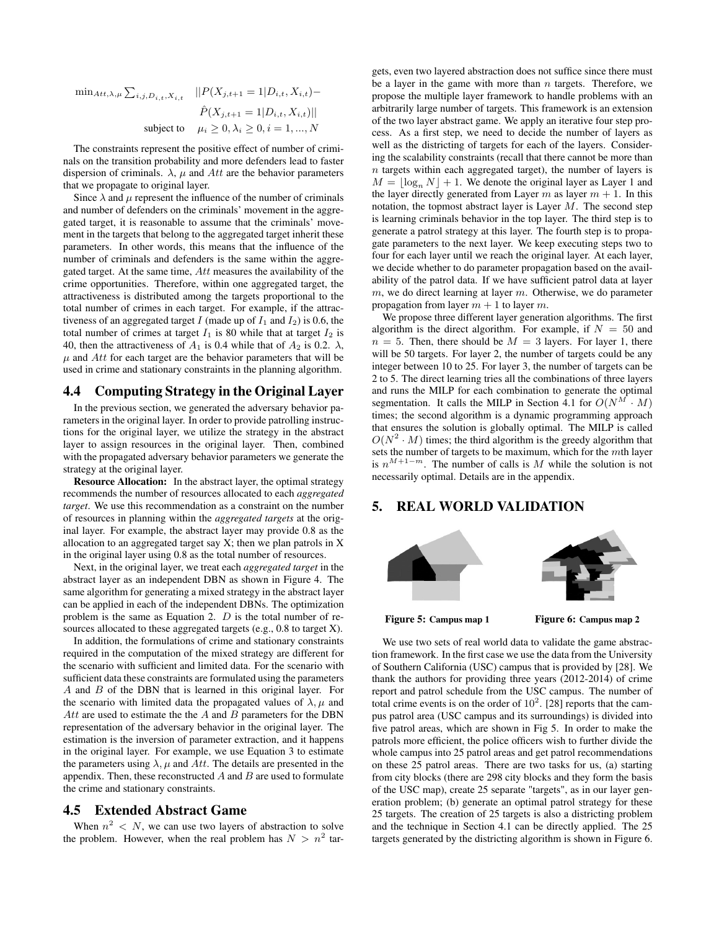$\min_{Att, \lambda, \mu} \sum_{i, j, D_{i,t}, X_{i,t}}$   $||P(X_{j,t+1} = 1|D_{i,t}, X_{i,t}) \hat{P}(X_{j,t+1} = 1|D_{i,t}, X_{i,t})$ || subject to  $\mu_i > 0, \lambda_i > 0, i = 1, ..., N$ 

The constraints represent the positive effect of number of criminals on the transition probability and more defenders lead to faster dispersion of criminals.  $\lambda$ ,  $\mu$  and Att are the behavior parameters that we propagate to original layer.

Since  $\lambda$  and  $\mu$  represent the influence of the number of criminals and number of defenders on the criminals' movement in the aggregated target, it is reasonable to assume that the criminals' movement in the targets that belong to the aggregated target inherit these parameters. In other words, this means that the influence of the number of criminals and defenders is the same within the aggregated target. At the same time,  $Att$  measures the availability of the crime opportunities. Therefore, within one aggregated target, the attractiveness is distributed among the targets proportional to the total number of crimes in each target. For example, if the attractiveness of an aggregated target I (made up of  $I_1$  and  $I_2$ ) is 0.6, the total number of crimes at target  $I_1$  is 80 while that at target  $I_2$  is 40, then the attractiveness of  $A_1$  is 0.4 while that of  $A_2$  is 0.2.  $\lambda$ ,  $\mu$  and Att for each target are the behavior parameters that will be used in crime and stationary constraints in the planning algorithm.

### 4.4 Computing Strategy in the Original Layer

In the previous section, we generated the adversary behavior parameters in the original layer. In order to provide patrolling instructions for the original layer, we utilize the strategy in the abstract layer to assign resources in the original layer. Then, combined with the propagated adversary behavior parameters we generate the strategy at the original layer.

Resource Allocation: In the abstract layer, the optimal strategy recommends the number of resources allocated to each *aggregated target*. We use this recommendation as a constraint on the number of resources in planning within the *aggregated targets* at the original layer. For example, the abstract layer may provide 0.8 as the allocation to an aggregated target say  $X$ ; then we plan patrols in  $X$ in the original layer using 0.8 as the total number of resources.

Next, in the original layer, we treat each *aggregated target* in the abstract layer as an independent DBN as shown in Figure 4. The same algorithm for generating a mixed strategy in the abstract layer can be applied in each of the independent DBNs. The optimization problem is the same as Equation 2.  $D$  is the total number of resources allocated to these aggregated targets (e.g., 0.8 to target X).

In addition, the formulations of crime and stationary constraints required in the computation of the mixed strategy are different for the scenario with sufficient and limited data. For the scenario with sufficient data these constraints are formulated using the parameters  $A$  and  $B$  of the DBN that is learned in this original layer. For the scenario with limited data the propagated values of  $\lambda, \mu$  and Att are used to estimate the the  $A$  and  $B$  parameters for the DBN representation of the adversary behavior in the original layer. The estimation is the inversion of parameter extraction, and it happens in the original layer. For example, we use Equation 3 to estimate the parameters using  $\lambda$ ,  $\mu$  and Att. The details are presented in the appendix. Then, these reconstructed  $A$  and  $B$  are used to formulate the crime and stationary constraints.

### 4.5 Extended Abstract Game

When  $n^2 < N$ , we can use two layers of abstraction to solve the problem. However, when the real problem has  $N > n^2$  targets, even two layered abstraction does not suffice since there must be a layer in the game with more than  $n$  targets. Therefore, we propose the multiple layer framework to handle problems with an arbitrarily large number of targets. This framework is an extension of the two layer abstract game. We apply an iterative four step process. As a first step, we need to decide the number of layers as well as the districting of targets for each of the layers. Considering the scalability constraints (recall that there cannot be more than  $n$  targets within each aggregated target), the number of layers is  $M = \log_n N + 1$ . We denote the original layer as Layer 1 and the layer directly generated from Layer m as layer  $m + 1$ . In this notation, the topmost abstract layer is Layer  $M$ . The second step is learning criminals behavior in the top layer. The third step is to generate a patrol strategy at this layer. The fourth step is to propagate parameters to the next layer. We keep executing steps two to four for each layer until we reach the original layer. At each layer, we decide whether to do parameter propagation based on the availability of the patrol data. If we have sufficient patrol data at layer  $m$ , we do direct learning at layer  $m$ . Otherwise, we do parameter propagation from layer  $m + 1$  to layer m.

We propose three different layer generation algorithms. The first algorithm is the direct algorithm. For example, if  $N = 50$  and  $n = 5$ . Then, there should be  $M = 3$  layers. For layer 1, there will be 50 targets. For layer 2, the number of targets could be any integer between 10 to 25. For layer 3, the number of targets can be 2 to 5. The direct learning tries all the combinations of three layers and runs the MILP for each combination to generate the optimal segmentation. It calls the MILP in Section 4.1 for  $O(N^M \cdot M)$ times; the second algorithm is a dynamic programming approach that ensures the solution is globally optimal. The MILP is called  $O(N^2 \cdot M)$  times; the third algorithm is the greedy algorithm that sets the number of targets to be maximum, which for the mth layer is  $n^{M+1-m}$ . The number of calls is M while the solution is not necessarily optimal. Details are in the appendix.

### 5. REAL WORLD VALIDATION



Figure 5: Campus map 1 Figure 6: Campus map 2

We use two sets of real world data to validate the game abstraction framework. In the first case we use the data from the University of Southern California (USC) campus that is provided by [28]. We thank the authors for providing three years (2012-2014) of crime report and patrol schedule from the USC campus. The number of total crime events is on the order of  $10^2$ . [28] reports that the campus patrol area (USC campus and its surroundings) is divided into five patrol areas, which are shown in Fig 5. In order to make the patrols more efficient, the police officers wish to further divide the whole campus into 25 patrol areas and get patrol recommendations on these 25 patrol areas. There are two tasks for us, (a) starting from city blocks (there are 298 city blocks and they form the basis of the USC map), create 25 separate "targets", as in our layer generation problem; (b) generate an optimal patrol strategy for these 25 targets. The creation of 25 targets is also a districting problem and the technique in Section 4.1 can be directly applied. The 25 targets generated by the districting algorithm is shown in Figure 6.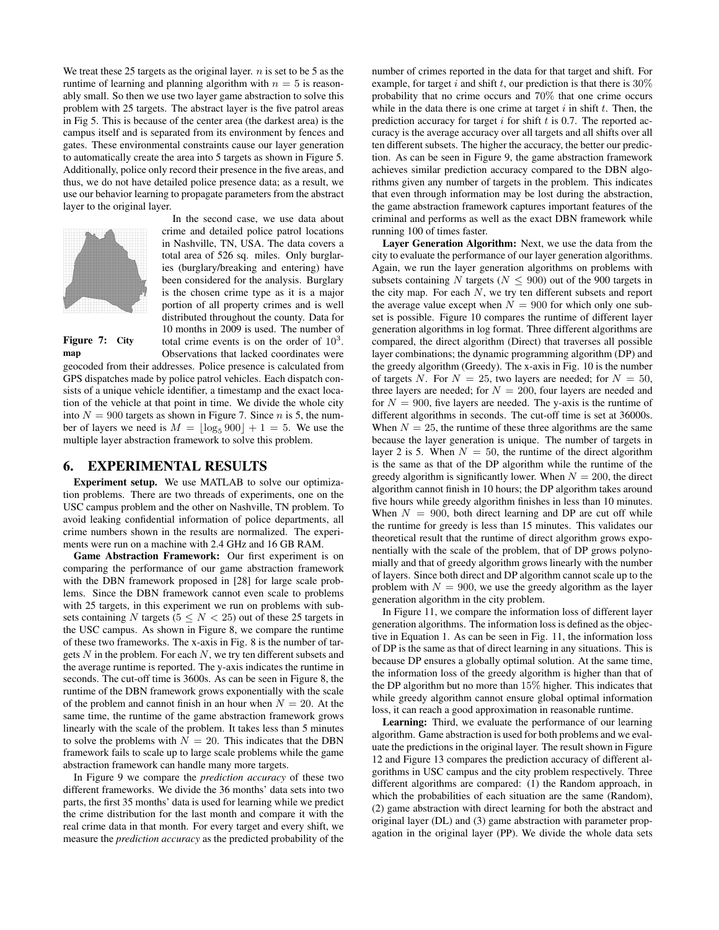We treat these 25 targets as the original layer.  $n$  is set to be 5 as the runtime of learning and planning algorithm with  $n = 5$  is reasonably small. So then we use two layer game abstraction to solve this problem with 25 targets. The abstract layer is the five patrol areas in Fig 5. This is because of the center area (the darkest area) is the campus itself and is separated from its environment by fences and gates. These environmental constraints cause our layer generation to automatically create the area into 5 targets as shown in Figure 5. Additionally, police only record their presence in the five areas, and thus, we do not have detailed police presence data; as a result, we use our behavior learning to propagate parameters from the abstract layer to the original layer.



In the second case, we use data about crime and detailed police patrol locations in Nashville, TN, USA. The data covers a total area of 526 sq. miles. Only burglaries (burglary/breaking and entering) have been considered for the analysis. Burglary is the chosen crime type as it is a major portion of all property crimes and is well distributed throughout the county. Data for 10 months in 2009 is used. The number of total crime events is on the order of  $10^3$ . Observations that lacked coordinates were

#### Figure 7: City map

geocoded from their addresses. Police presence is calculated from GPS dispatches made by police patrol vehicles. Each dispatch consists of a unique vehicle identifier, a timestamp and the exact location of the vehicle at that point in time. We divide the whole city into  $N = 900$  targets as shown in Figure 7. Since *n* is 5, the number of layers we need is  $M = \lfloor \log_5 900 \rfloor + 1 = 5$ . We use the multiple layer abstraction framework to solve this problem.

### 6. EXPERIMENTAL RESULTS

Experiment setup. We use MATLAB to solve our optimization problems. There are two threads of experiments, one on the USC campus problem and the other on Nashville, TN problem. To avoid leaking confidential information of police departments, all crime numbers shown in the results are normalized. The experiments were run on a machine with 2.4 GHz and 16 GB RAM.

Game Abstraction Framework: Our first experiment is on comparing the performance of our game abstraction framework with the DBN framework proposed in [28] for large scale problems. Since the DBN framework cannot even scale to problems with 25 targets, in this experiment we run on problems with subsets containing N targets ( $5 \leq N < 25$ ) out of these 25 targets in the USC campus. As shown in Figure 8, we compare the runtime of these two frameworks. The x-axis in Fig. 8 is the number of targets  $N$  in the problem. For each  $N$ , we try ten different subsets and the average runtime is reported. The y-axis indicates the runtime in seconds. The cut-off time is 3600s. As can be seen in Figure 8, the runtime of the DBN framework grows exponentially with the scale of the problem and cannot finish in an hour when  $N = 20$ . At the same time, the runtime of the game abstraction framework grows linearly with the scale of the problem. It takes less than 5 minutes to solve the problems with  $N = 20$ . This indicates that the DBN framework fails to scale up to large scale problems while the game abstraction framework can handle many more targets.

In Figure 9 we compare the *prediction accuracy* of these two different frameworks. We divide the 36 months' data sets into two parts, the first 35 months' data is used for learning while we predict the crime distribution for the last month and compare it with the real crime data in that month. For every target and every shift, we measure the *prediction accuracy* as the predicted probability of the

number of crimes reported in the data for that target and shift. For example, for target i and shift t, our prediction is that there is  $30\%$ probability that no crime occurs and 70% that one crime occurs while in the data there is one crime at target  $i$  in shift  $t$ . Then, the prediction accuracy for target i for shift t is 0.7. The reported accuracy is the average accuracy over all targets and all shifts over all ten different subsets. The higher the accuracy, the better our prediction. As can be seen in Figure 9, the game abstraction framework achieves similar prediction accuracy compared to the DBN algorithms given any number of targets in the problem. This indicates that even through information may be lost during the abstraction, the game abstraction framework captures important features of the criminal and performs as well as the exact DBN framework while running 100 of times faster.

Layer Generation Algorithm: Next, we use the data from the city to evaluate the performance of our layer generation algorithms. Again, we run the layer generation algorithms on problems with subsets containing N targets ( $N \leq 900$ ) out of the 900 targets in the city map. For each N, we try ten different subsets and report the average value except when  $N = 900$  for which only one subset is possible. Figure 10 compares the runtime of different layer generation algorithms in log format. Three different algorithms are compared, the direct algorithm (Direct) that traverses all possible layer combinations; the dynamic programming algorithm (DP) and the greedy algorithm (Greedy). The x-axis in Fig. 10 is the number of targets N. For  $N = 25$ , two layers are needed; for  $N = 50$ , three layers are needed; for  $N = 200$ , four layers are needed and for  $N = 900$ , five layers are needed. The y-axis is the runtime of different algorithms in seconds. The cut-off time is set at 36000s. When  $N = 25$ , the runtime of these three algorithms are the same because the layer generation is unique. The number of targets in layer 2 is 5. When  $N = 50$ , the runtime of the direct algorithm is the same as that of the DP algorithm while the runtime of the greedy algorithm is significantly lower. When  $N = 200$ , the direct algorithm cannot finish in 10 hours; the DP algorithm takes around five hours while greedy algorithm finishes in less than 10 minutes. When  $N = 900$ , both direct learning and DP are cut off while the runtime for greedy is less than 15 minutes. This validates our theoretical result that the runtime of direct algorithm grows exponentially with the scale of the problem, that of DP grows polynomially and that of greedy algorithm grows linearly with the number of layers. Since both direct and DP algorithm cannot scale up to the problem with  $N = 900$ , we use the greedy algorithm as the layer generation algorithm in the city problem.

In Figure 11, we compare the information loss of different layer generation algorithms. The information loss is defined as the objective in Equation 1. As can be seen in Fig. 11, the information loss of DP is the same as that of direct learning in any situations. This is because DP ensures a globally optimal solution. At the same time, the information loss of the greedy algorithm is higher than that of the DP algorithm but no more than 15% higher. This indicates that while greedy algorithm cannot ensure global optimal information loss, it can reach a good approximation in reasonable runtime.

Learning: Third, we evaluate the performance of our learning algorithm. Game abstraction is used for both problems and we evaluate the predictions in the original layer. The result shown in Figure 12 and Figure 13 compares the prediction accuracy of different algorithms in USC campus and the city problem respectively. Three different algorithms are compared: (1) the Random approach, in which the probabilities of each situation are the same (Random), (2) game abstraction with direct learning for both the abstract and original layer (DL) and (3) game abstraction with parameter propagation in the original layer (PP). We divide the whole data sets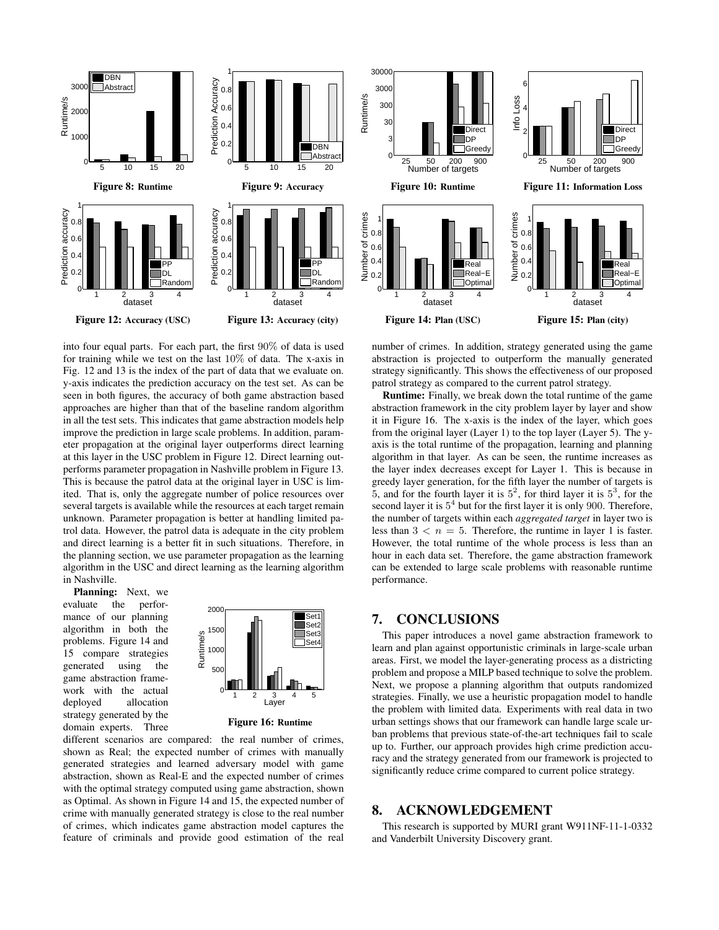

into four equal parts. For each part, the first 90% of data is used for training while we test on the last 10% of data. The x-axis in Fig. 12 and 13 is the index of the part of data that we evaluate on. y-axis indicates the prediction accuracy on the test set. As can be seen in both figures, the accuracy of both game abstraction based approaches are higher than that of the baseline random algorithm in all the test sets. This indicates that game abstraction models help improve the prediction in large scale problems. In addition, parameter propagation at the original layer outperforms direct learning at this layer in the USC problem in Figure 12. Direct learning outperforms parameter propagation in Nashville problem in Figure 13. This is because the patrol data at the original layer in USC is limited. That is, only the aggregate number of police resources over several targets is available while the resources at each target remain unknown. Parameter propagation is better at handling limited patrol data. However, the patrol data is adequate in the city problem and direct learning is a better fit in such situations. Therefore, in the planning section, we use parameter propagation as the learning algorithm in the USC and direct learning as the learning algorithm in Nashville.

Planning: Next, we evaluate the performance of our planning algorithm in both the problems. Figure 14 and 15 compare strategies generated using the game abstraction framework with the actual deployed allocation strategy generated by the domain experts. Three



Figure 16: Runtime

different scenarios are compared: the real number of crimes, shown as Real; the expected number of crimes with manually generated strategies and learned adversary model with game abstraction, shown as Real-E and the expected number of crimes with the optimal strategy computed using game abstraction, shown as Optimal. As shown in Figure 14 and 15, the expected number of crime with manually generated strategy is close to the real number of crimes, which indicates game abstraction model captures the feature of criminals and provide good estimation of the real



number of crimes. In addition, strategy generated using the game abstraction is projected to outperform the manually generated strategy significantly. This shows the effectiveness of our proposed patrol strategy as compared to the current patrol strategy.

Runtime: Finally, we break down the total runtime of the game abstraction framework in the city problem layer by layer and show it in Figure 16. The x-axis is the index of the layer, which goes from the original layer (Layer 1) to the top layer (Layer 5). The yaxis is the total runtime of the propagation, learning and planning algorithm in that layer. As can be seen, the runtime increases as the layer index decreases except for Layer 1. This is because in greedy layer generation, for the fifth layer the number of targets is 5, and for the fourth layer it is  $5^2$ , for third layer it is  $5^3$ , for the second layer it is  $5<sup>4</sup>$  but for the first layer it is only 900. Therefore, the number of targets within each *aggregated target* in layer two is less than  $3 < n = 5$ . Therefore, the runtime in layer 1 is faster. However, the total runtime of the whole process is less than an hour in each data set. Therefore, the game abstraction framework can be extended to large scale problems with reasonable runtime performance.

# 7. CONCLUSIONS

This paper introduces a novel game abstraction framework to learn and plan against opportunistic criminals in large-scale urban areas. First, we model the layer-generating process as a districting problem and propose a MILP based technique to solve the problem. Next, we propose a planning algorithm that outputs randomized strategies. Finally, we use a heuristic propagation model to handle the problem with limited data. Experiments with real data in two urban settings shows that our framework can handle large scale urban problems that previous state-of-the-art techniques fail to scale up to. Further, our approach provides high crime prediction accuracy and the strategy generated from our framework is projected to significantly reduce crime compared to current police strategy.

### 8. ACKNOWLEDGEMENT

This research is supported by MURI grant W911NF-11-1-0332 and Vanderbilt University Discovery grant.